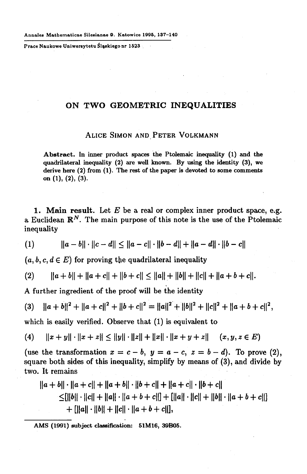**Prace Naukowe Uniwersytetu Śląskiego nr 1523** 

## **ON TWO GEOMETRIC INEQUALITIES**

## **ALICE SIMON AND PETER VOLKMANN**

**Abstract. In inner product spaces the Ptolemaic inequality (1) and the quadrilateral inequality (2) are well known. By using the identity (3), we derive here (2) from (1). The rest of the paper is devoted to some comments on (1), (2), (3).** 

1. **Main result.** Let *E* be a real or complex inner product space, e.g. a Euclidean  $\mathbb{R}^N$ . The main purpose of this note is the use of the Ptolemaic inequality

$$
(1) \t\t ||a-b|| \cdot ||c-d|| \le ||a-c|| \cdot ||b-d|| + ||a-d|| \cdot ||b-c||
$$

 $(a, b, c, d \in E)$  for proving the quadrilateral inequality

$$
(2) \qquad ||a+b||+||a+c||+||b+c|| \le ||a||+||b||+||c||+||a+b+c||.
$$

**<sup>A</sup>** further ingredient of the proof will be the identity

(3) 
$$
||a+b||^2 + ||a+c||^2 + ||b+c||^2 = ||a||^2 + ||b||^2 + ||c||^2 + ||a+b+c||^2,
$$

which is easily verified. Observe that (1) is equivalent to

$$
(4) \quad ||x+y|| \cdot ||x+z|| \le ||y|| \cdot ||z|| + ||x|| \cdot ||x+y+z|| \quad (x,y,z \in E)
$$

(use the transformation  $x = c - b$ ,  $y = a - c$ ,  $z = b - d$ ). To prove (2), square both sides of this inequality, simplify by means of (3), and divide by two. It remains

$$
||a + b|| \cdot ||a + c|| + ||a + b|| \cdot ||b + c|| + ||a + c|| \cdot ||b + c||
$$
  
\n
$$
\leq [||b|| \cdot ||c|| + ||a|| \cdot ||a + b + c||] + [|a|| \cdot ||c|| + ||b|| \cdot ||a + b + c||]
$$
  
\n
$$
+ [||a|| \cdot ||b|| + ||c|| \cdot ||a + b + c||],
$$

**AMS (1991) subject classification: 51M16, 39B05.**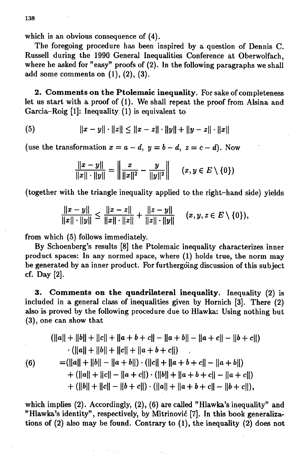which is an obvious consequence of (4).

The foregoing procedure has been inspired by a question of Dennis C. Russell during the 1990 General Inequalities Conference at Oberwolfach, where he asked for "easy" proofs of (2). In the following paragraphs we shall add some comments on  $(1)$ ,  $(2)$ ,  $(3)$ .

2. **Comments on the Ptolemaic inequality.** For sake of completeness let us start with a proof of (1). We shall repeat the proof from Alsina and Garcia-Roig [1]: Inequality (1) is equivalent to

(5) 
$$
||x - y|| \cdot ||z|| \le ||x - z|| \cdot ||y|| + ||y - z|| \cdot ||x||
$$

(use the transformation  $x = a - d$ ,  $y = b - d$ ,  $z = c - d$ ). Now

$$
\frac{||x-y||}{||x|| \cdot ||y||} = \left\| \frac{x}{||x||^2} - \frac{y}{||y||^2} \right\| \quad (x, y \in E \setminus \{0\})
$$

(together with the triangle inequality applied to the right-hand side) yields

$$
\frac{||x-y||}{||x|| \cdot ||y||} \le \frac{||x-z||}{||x|| \cdot ||z||} + \frac{||z-y||}{||z|| \cdot ||y||} \quad (x,y,z \in E \setminus \{0\}),
$$

from which (5) follows immediately.

By Schoenberg's results [8] the Ptolemaic inequality characterizes inner product spaces: In any normed space, where (1) holds true, the norm may be generated by an inner product. For furthergóing discussion of this subject cf. Day [2].

3. **Comments on the quadrilateral inequality.** Inequality (2) is included in a general class of inequalities given by Hornich [3]. There (2) also is proved by the following procedure due to Hlawka: Using nothing but (3), one can show that

$$
(\|a\| + \|b\| + \|c\| + \|a + b + c\| - \|a + b\| - \|a + c\| - \|b + c\|)
$$
  
\n
$$
\cdot (\|a\| + \|b\| + \|c\| + \|a + b + c\|)
$$
  
\n(6)  
\n
$$
= (\|a\| + \|b\| - \|a + b\|) \cdot (\|c\| + \|a + b + c\| - \|a + b\|)
$$
  
\n
$$
+ (\|a\| + \|c\| - \|a + c\|) \cdot (\|b\| + \|a + b + c\| - \|a + c\|)
$$
  
\n
$$
+ (\|b\| + \|c\| - \|b + c\|) \cdot (\|a\| + \|a + b + c\| - \|b + c\|),
$$

which implies (2). Accordingly, (2), (6) are called "Hlawka's inequality" and "Hlawka's identity", respectively, by Mitrinovic [7]. In this book generalizations of (2) also may be found. Contrary to (1), the inequality (2) does not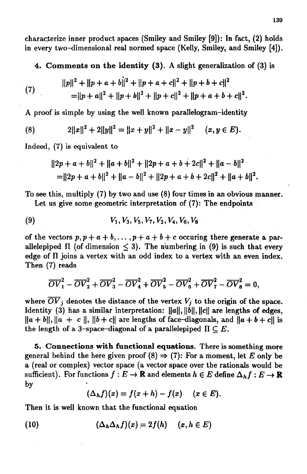characterize inner product spaces (Smiley and Smiley **[9]):** In fact, **(2)** holds in every two-dimensional real normed space (Kelly, Smiley, and Smiley [4]).

4. **Comments on the identity** (3). A slight generalization of **(3)** is

(7) 
$$
||p||^2 + ||p + a + b||^2 + ||p + a + c||^2 + ||p + b + c||^2
$$

$$
= ||p + a||^2 + ||p + b||^2 + ||p + c||^2 + ||p + a + b + c||^2.
$$

A proof is simple by using the well known parallelogram-identity

(8) 
$$
2||x||^2 + 2||y||^2 = ||x + y||^2 + ||x - y||^2 \quad (x, y \in E).
$$

Indeed, (7) is equivalent to

$$
||2p + a + b||2 + ||a + b||2 + ||2p + a + b + 2c||2 + ||a - b||2
$$
  
= 
$$
||2p + a + b||2 + ||a - b||2 + ||2p + a + b + 2c||2 + ||a + b||2.
$$

To see this, multiply (7) by two and use (8) four times in an obvious manner.

Let us give some geometric interpretation of (7): The endpoints

(9) 
$$
V_1, V_3, V_5, V_7, V_2, V_4, V_6, V_8
$$

of the vectors  $p, p + a + b, \ldots, p + a + b + c$  occuring there generate a parallelepiped  $\Pi$  (of dimension  $\leq$  3). The numbering in (9) is such that every edge of II joins a vertex with an odd index to a vertex with an even index. Then (7) reads

$$
\overline{OV}_1^2 - \overline{OV}_2^2 + \overline{OV}_3^2 - \overline{OV}_4^2 + \overline{OV}_5^2 - \overline{OV}_6^2 + \overline{OV}_7^2 - \overline{OV}_8^2 = 0,
$$

where  $\overline{OV}_j$  denotes the distance of the vertex  $V_j$  to the origin of the space. Identity **(3)** has a similar interpretation: ||a||, **||6||,** ||c|| are lengths of edges,  $\|a + b\|$ ,  $\|a + c\|$ ,  $\|b + c\|$  are lengths of face-diagonals, and  $\|a + b + c\|$  is the length of a 3-space-diagonal of a parallelepiped  $\Pi \subset E$ .

5. **Connections with functional equations.** There is something more general behind the here given proof  $(8) \Rightarrow (7)$ : For a moment, let *E* only be a (real or complex) vector space (a vector space over the rationals would be sufficient). For functions  $f : E \to \mathbb{R}$  and elements  $h \in E$  define  $\Delta_h f : E \to \mathbb{R}$ by

$$
(\Delta_h f)(x) = f(x+h) - f(x) \quad (x \in E).
$$

Then it is well known that the functional equation

(10) 
$$
(\Delta_h \Delta_h f)(x) = 2f(h) \quad (x, h \in E)
$$